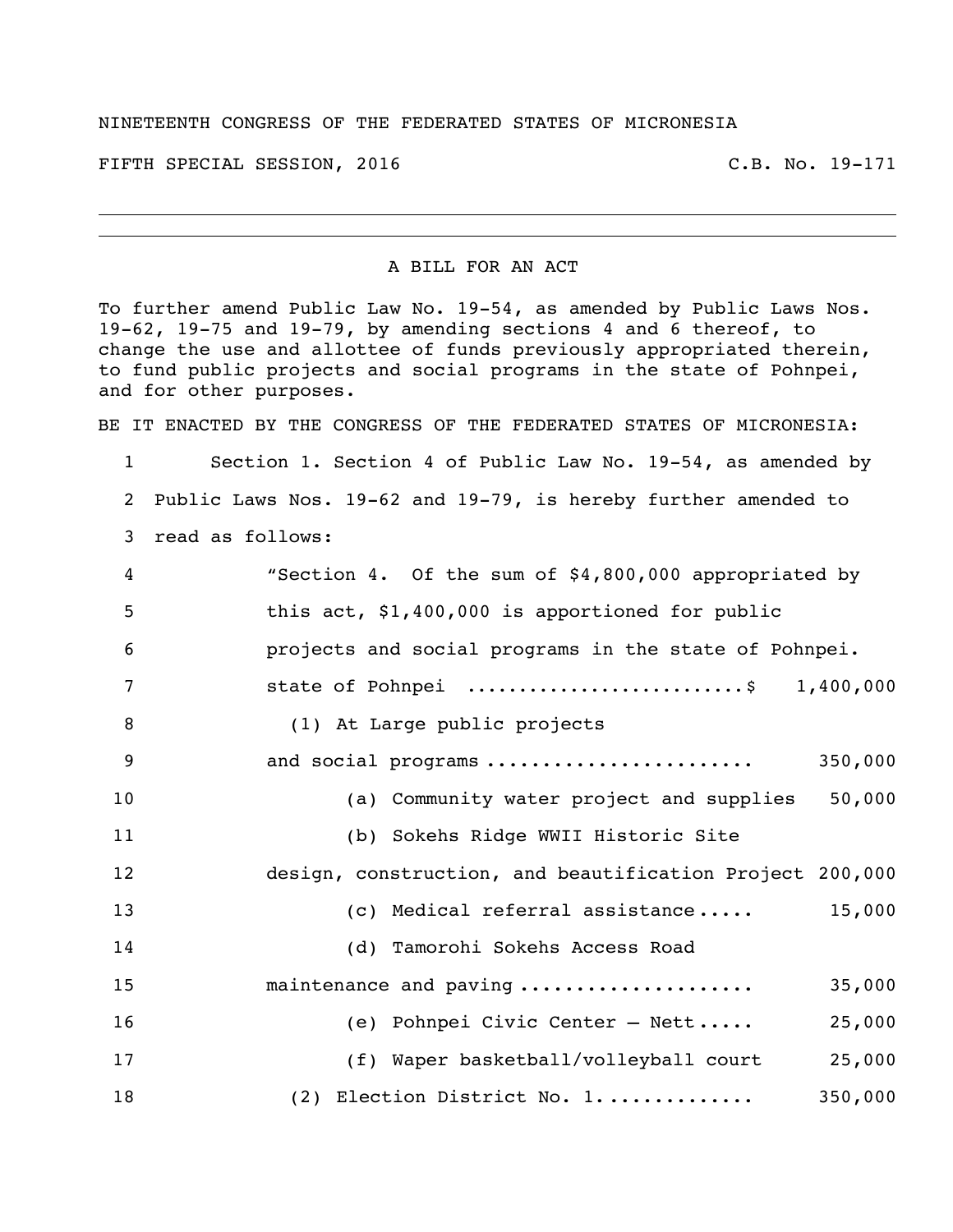## NINETEENTH CONGRESS OF THE FEDERATED STATES OF MICRONESIA

FIFTH SPECIAL SESSION, 2016 C.B. No. 19-171

## A BILL FOR AN ACT

To further amend Public Law No. 19-54, as amended by Public Laws Nos. 19-62, 19-75 and 19-79, by amending sections 4 and 6 thereof, to change the use and allottee of funds previously appropriated therein, to fund public projects and social programs in the state of Pohnpei, and for other purposes.

BE IT ENACTED BY THE CONGRESS OF THE FEDERATED STATES OF MICRONESIA:

 Section 1. Section 4 of Public Law No. 19-54, as amended by Public Laws Nos. 19-62 and 19-79, is hereby further amended to read as follows:

| 4  | "Section 4. Of the sum of \$4,800,000 appropriated by    |
|----|----------------------------------------------------------|
| 5  | this act, \$1,400,000 is apportioned for public          |
| 6  | projects and social programs in the state of Pohnpei.    |
| 7  | state of Pohnpei \$ 1,400,000                            |
| 8  | (1) At Large public projects                             |
| 9  | and social programs<br>350,000                           |
| 10 | 50,000<br>(a) Community water project and supplies       |
| 11 | (b) Sokehs Ridge WWII Historic Site                      |
| 12 | design, construction, and beautification Project 200,000 |
| 13 | 15,000<br>(c) Medical referral assistance                |
| 14 | (d) Tamorohi Sokehs Access Road                          |
| 15 | maintenance and paving<br>35,000                         |
| 16 | (e) Pohnpei Civic Center - Nett<br>25,000                |
| 17 | (f) Waper basketball/volleyball court<br>25,000          |
| 18 | 350,000<br>(2) Election District No. 1                   |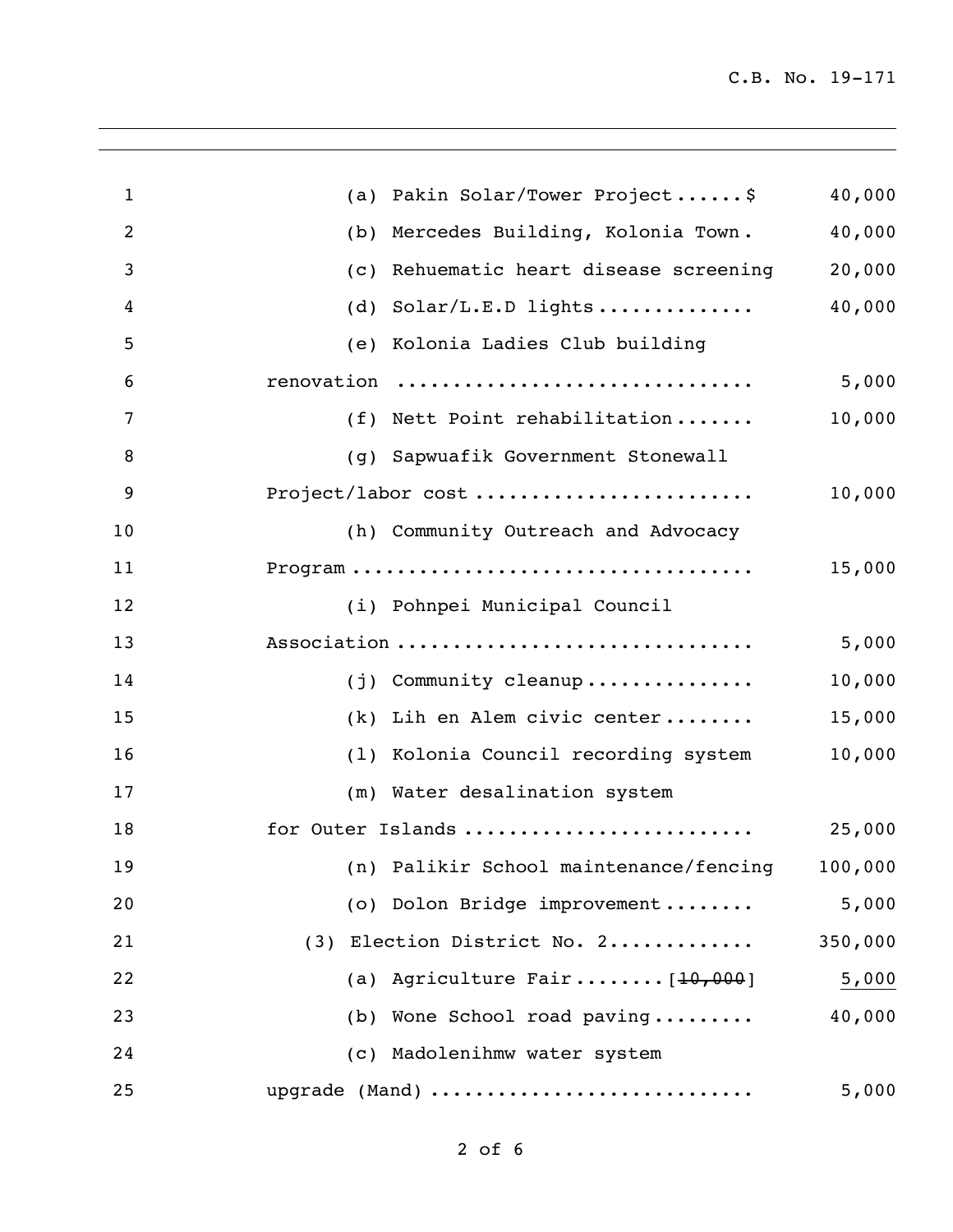| $\mathbf{1}$   | (a) Pakin Solar/Tower Project\$                         | 40,000  |
|----------------|---------------------------------------------------------|---------|
| $\overline{2}$ | Mercedes Building, Kolonia Town.<br>(b)                 | 40,000  |
| 3              | Rehuematic heart disease screening<br>$\left( c\right)$ | 20,000  |
| 4              | Solar/L.E.D lights<br>(d)                               | 40,000  |
| 5              | (e) Kolonia Ladies Club building                        |         |
| 6              | renovation                                              | 5,000   |
| 7              | (f) Nett Point rehabilitation                           | 10,000  |
| 8              | Sapwuafik Government Stonewall<br>(q)                   |         |
| 9              | Project/labor cost                                      | 10,000  |
| 10             | (h) Community Outreach and Advocacy                     |         |
| 11             |                                                         | 15,000  |
| 12             | (i) Pohnpei Municipal Council                           |         |
| 13             | Association                                             | 5,000   |
| 14             | (j) Community cleanup                                   | 10,000  |
| 15             | (k) Lih en Alem civic center                            | 15,000  |
| 16             | (1) Kolonia Council recording system                    | 10,000  |
| 17             | (m) Water desalination system                           |         |
| 18             | for Outer Islands                                       | 25,000  |
| 19             | (n) Palikir School maintenance/fencing                  | 100,000 |
| 20             | (o) Dolon Bridge improvement                            | 5,000   |
| 21             | (3) Election District No. 2                             | 350,000 |
| 22             | (a) Agriculture Fair $[10,000]$                         | 5,000   |
| 23             | Wone School road paving<br>(b)                          | 40,000  |
| 24             | (c) Madolenihmw water system                            |         |
| 25             | upgrade (Mand)                                          | 5,000   |
|                |                                                         |         |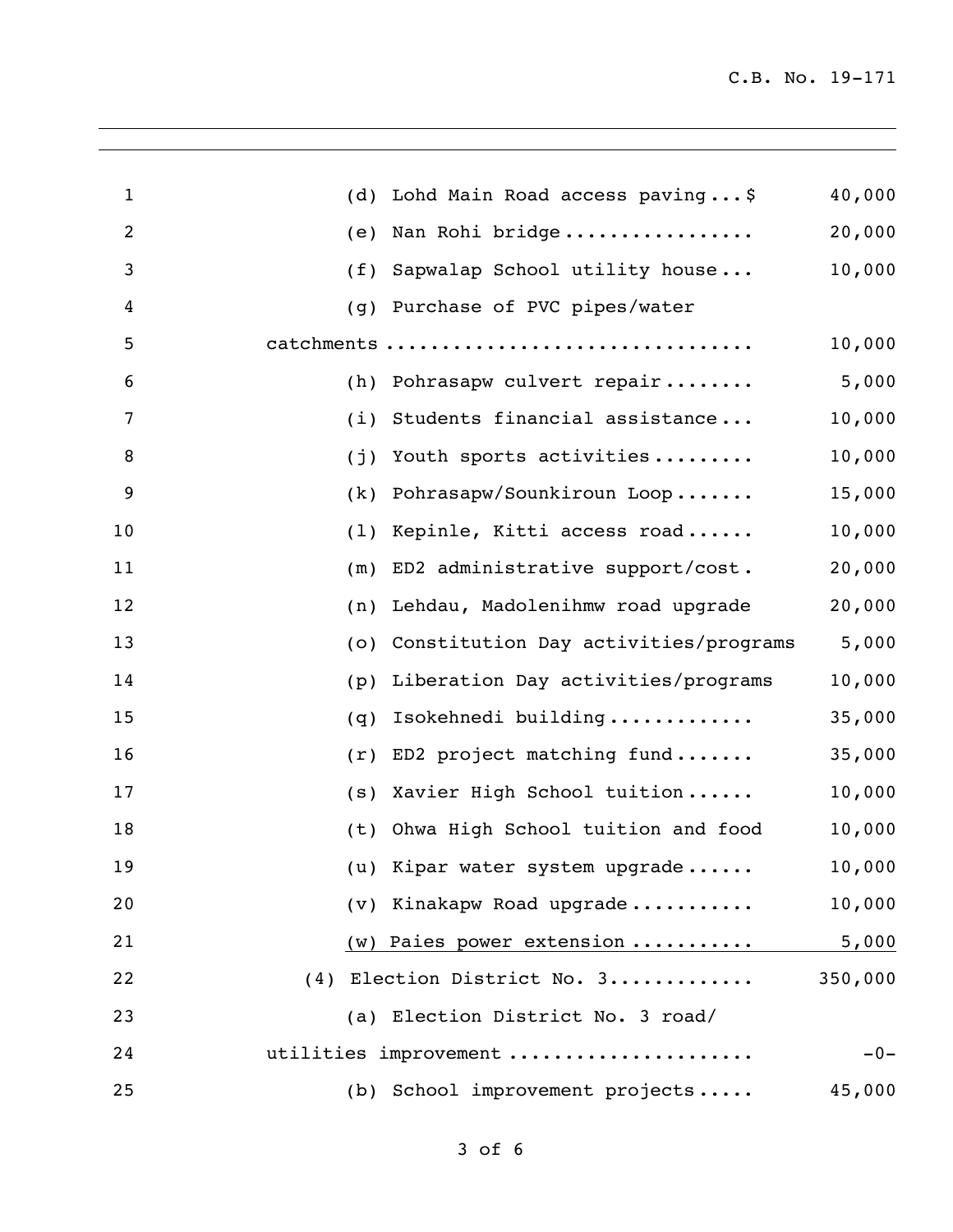| $\mathbf{1}$   | (d) | Lohd Main Road access paving\$       | 40,000  |
|----------------|-----|--------------------------------------|---------|
| $\overline{c}$ | (e) | Nan Rohi bridge                      | 20,000  |
| 3              | (f) | Sapwalap School utility house        | 10,000  |
| 4              | (g) | Purchase of PVC pipes/water          |         |
| 5              |     | catchments                           | 10,000  |
| 6              |     | (h) Pohrasapw culvert repair         | 5,000   |
| 7              |     | (i) Students financial assistance    | 10,000  |
| 8              | (j) | Youth sports activities              | 10,000  |
| 9              | (k) | Pohrasapw/Sounkiroun Loop            | 15,000  |
| 10             | (1) | Kepinle, Kitti access road           | 10,000  |
| 11             | (m) | ED2 administrative support/cost.     | 20,000  |
| 12             | (n) | Lehdau, Madolenihmw road upgrade     | 20,000  |
| 13             | (0) | Constitution Day activities/programs | 5,000   |
| 14             | (p) | Liberation Day activities/programs   | 10,000  |
| 15             | (q) | Isokehnedi building                  | 35,000  |
| 16             | (r) | ED2 project matching fund            | 35,000  |
| 17             | (s) | Xavier High School tuition           | 10,000  |
| 18             | (t) | Ohwa High School tuition and food    | 10,000  |
| 19             |     | (u) Kipar water system upgrade       | 10,000  |
| 20             |     | (v) Kinakapw Road upgrade            | 10,000  |
| 21             |     | (w) Paies power extension            | 5,000   |
| 22             |     | (4) Election District No. 3          | 350,000 |
| 23             |     | (a) Election District No. 3 road/    |         |
| 24             |     | utilities improvement                | $-0-$   |
| 25             |     | (b) School improvement projects      | 45,000  |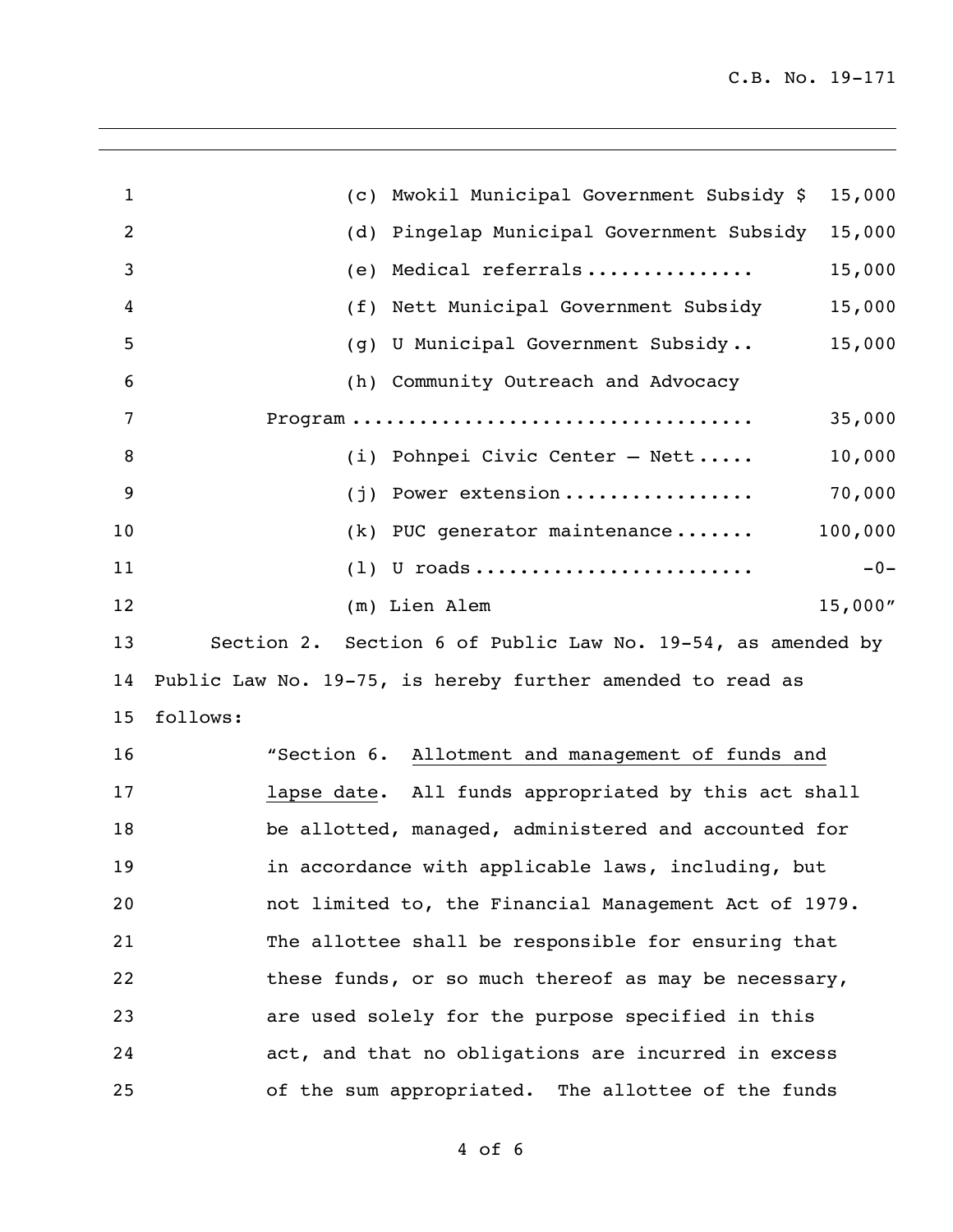| $\mathbf{1}$   | Mwokil Municipal Government Subsidy \$<br>15,000<br>(C)     |
|----------------|-------------------------------------------------------------|
| $\overline{2}$ | Pingelap Municipal Government Subsidy<br>15,000<br>(d)      |
| 3              | Medical referrals<br>15,000<br>(e)                          |
| 4              | Nett Municipal Government Subsidy<br>15,000<br>(f)          |
| 5              | 15,000<br>U Municipal Government Subsidy<br>(q)             |
| 6              | (h) Community Outreach and Advocacy                         |
| 7              | 35,000                                                      |
| 8              | 10,000<br>(i) Pohnpei Civic Center $-$ Nett                 |
| 9              | 70,000<br>Power extension<br>(i)                            |
| 10             | 100,000<br>PUC generator maintenance<br>(k)                 |
| 11             | $(1)$ U roads<br>$-0-$                                      |
| 12             | 15,000"<br>(m) Lien Alem                                    |
| 13             | Section 2. Section 6 of Public Law No. 19-54, as amended by |
| 14             | Public Law No. 19-75, is hereby further amended to read as  |
| 15             | follows:                                                    |
| 16             | "Section 6. Allotment and management of funds and           |
| 17             | lapse date. All funds appropriated by this act shall        |
| 18             | be allotted, managed, administered and accounted for        |
| 19             | in accordance with applicable laws, including, but          |
| 20             | not limited to, the Financial Management Act of 1979.       |
| 21             | The allottee shall be responsible for ensuring that         |
| 22             | these funds, or so much thereof as may be necessary,        |
| 23             | are used solely for the purpose specified in this           |

of the sum appropriated. The allottee of the funds

act, and that no obligations are incurred in excess

of 6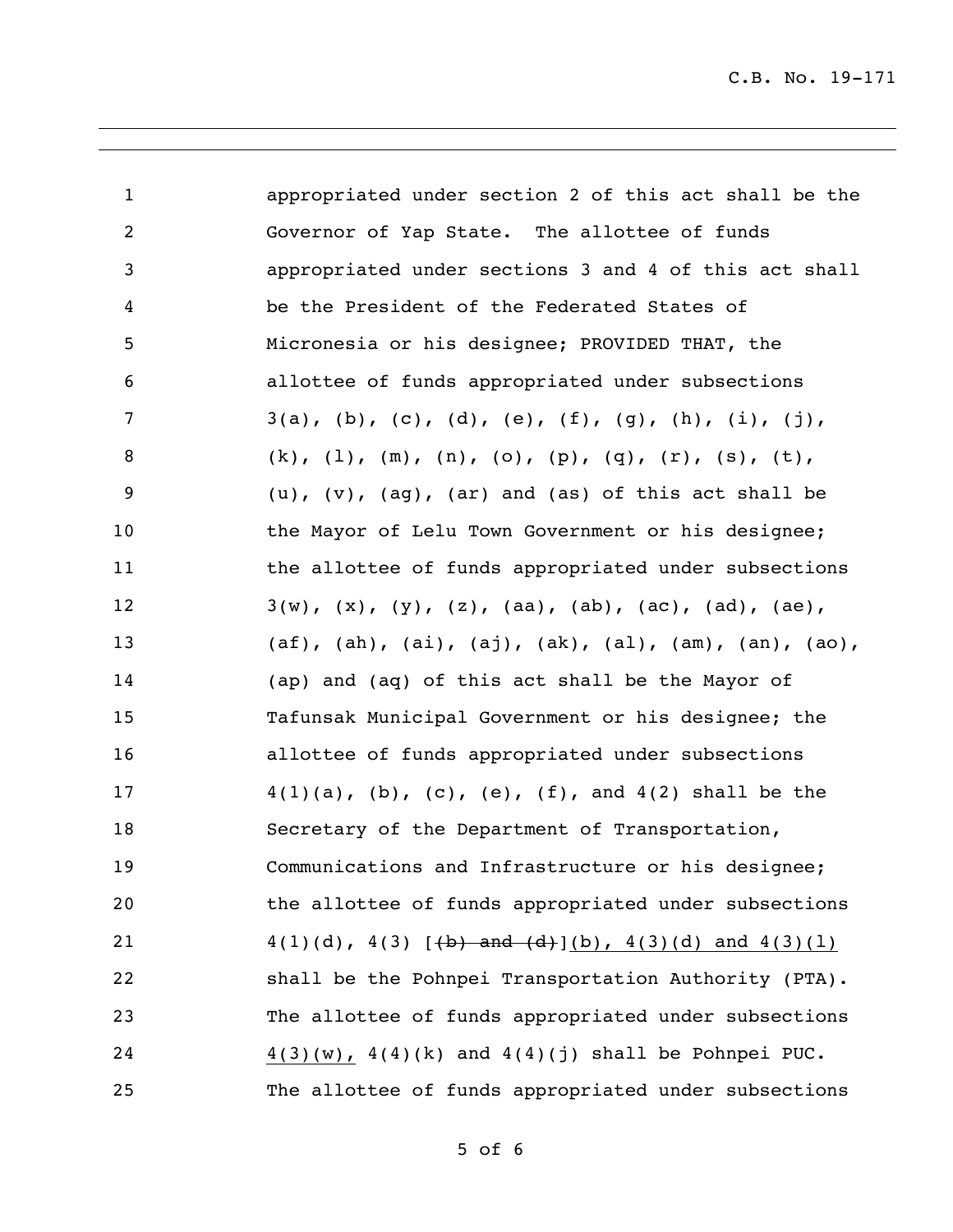C.B. No. 19-171

| $\mathbf{1}$   | appropriated under section 2 of this act shall be the                            |
|----------------|----------------------------------------------------------------------------------|
| $\overline{2}$ | Governor of Yap State. The allottee of funds                                     |
| 3              | appropriated under sections 3 and 4 of this act shall                            |
| 4              | be the President of the Federated States of                                      |
| 5              | Micronesia or his designee; PROVIDED THAT, the                                   |
| 6              | allottee of funds appropriated under subsections                                 |
| 7              | $3(a)$ , (b), (c), (d), (e), (f), (g), (h), (i), (j),                            |
| 8              | (k), $(1)$ , $(m)$ , $(n)$ , $(o)$ , $(p)$ , $(q)$ , $(r)$ , $(s)$ , $(t)$ ,     |
| 9              | $(u)$ , $(v)$ , $(ag)$ , $(ar)$ and $(as)$ of this act shall be                  |
| 10             | the Mayor of Lelu Town Government or his designee;                               |
| 11             | the allottee of funds appropriated under subsections                             |
| 12             | $3(w)$ , $(x)$ , $(y)$ , $(z)$ , $(aa)$ , $(ab)$ , $(ac)$ , $(ad)$ , $(ae)$ ,    |
| 13             | $(af)$ , $(ah)$ , $(ai)$ , $(aj)$ , $(ak)$ , $(al)$ , $(am)$ , $(an)$ , $(ao)$ , |
| 14             | (ap) and (aq) of this act shall be the Mayor of                                  |
| 15             | Tafunsak Municipal Government or his designee; the                               |
| 16             | allottee of funds appropriated under subsections                                 |
| 17             | $4(1)(a)$ , (b), (c), (e), (f), and $4(2)$ shall be the                          |
| 18             | Secretary of the Department of Transportation,                                   |
| 19             | Communications and Infrastructure or his designee;                               |
| 20             | the allottee of funds appropriated under subsections                             |
| 21             | $4(1)(d)$ , $4(3)$ [(b) and (d)](b), $4(3)(d)$ and $4(3)(1)$                     |
| 22             | shall be the Pohnpei Transportation Authority (PTA).                             |
| 23             | The allottee of funds appropriated under subsections                             |
| 24             | $4(3)(w)$ , $4(4)(k)$ and $4(4)(j)$ shall be Pohnpei PUC.                        |
| 25             | The allottee of funds appropriated under subsections                             |

of 6